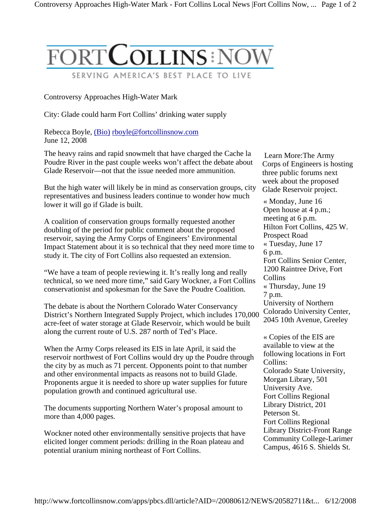

## Controversy Approaches High-Water Mark

City: Glade could harm Fort Collins' drinking water supply

Rebecca Boyle, (Bio) rboyle@fortcollinsnow.com June 12, 2008

The heavy rains and rapid snowmelt that have charged the Cache la Poudre River in the past couple weeks won't affect the debate about Glade Reservoir—not that the issue needed more ammunition.

But the high water will likely be in mind as conservation groups, city representatives and business leaders continue to wonder how much lower it will go if Glade is built.

A coalition of conservation groups formally requested another doubling of the period for public comment about the proposed reservoir, saying the Army Corps of Engineers' Environmental Impact Statement about it is so technical that they need more time to study it. The city of Fort Collins also requested an extension.

"We have a team of people reviewing it. It's really long and really technical, so we need more time," said Gary Wockner, a Fort Collins conservationist and spokesman for the Save the Poudre Coalition.

The debate is about the Northern Colorado Water Conservancy District's Northern Integrated Supply Project, which includes 170,000 acre-feet of water storage at Glade Reservoir, which would be built along the current route of U.S. 287 north of Ted's Place.

When the Army Corps released its EIS in late April, it said the reservoir northwest of Fort Collins would dry up the Poudre through the city by as much as 71 percent. Opponents point to that number and other environmental impacts as reasons not to build Glade. Proponents argue it is needed to shore up water supplies for future population growth and continued agricultural use.

The documents supporting Northern Water's proposal amount to more than 4,000 pages.

Wockner noted other environmentally sensitive projects that have elicited longer comment periods: drilling in the Roan plateau and potential uranium mining northeast of Fort Collins.

 Learn More:The Army Corps of Engineers is hosting three public forums next week about the proposed Glade Reservoir project.

« Monday, June 16 Open house at 4 p.m.; meeting at 6 p.m. Hilton Fort Collins, 425 W. Prospect Road « Tuesday, June 17 6 p.m. Fort Collins Senior Center, 1200 Raintree Drive, Fort Collins « Thursday, June 19 7 p.m. University of Northern Colorado University Center, 2045 10th Avenue, Greeley

« Copies of the EIS are available to view at the following locations in Fort Collins: Colorado State University, Morgan Library, 501 University Ave. Fort Collins Regional Library District, 201 Peterson St. Fort Collins Regional Library District-Front Range Community College-Larimer Campus, 4616 S. Shields St.